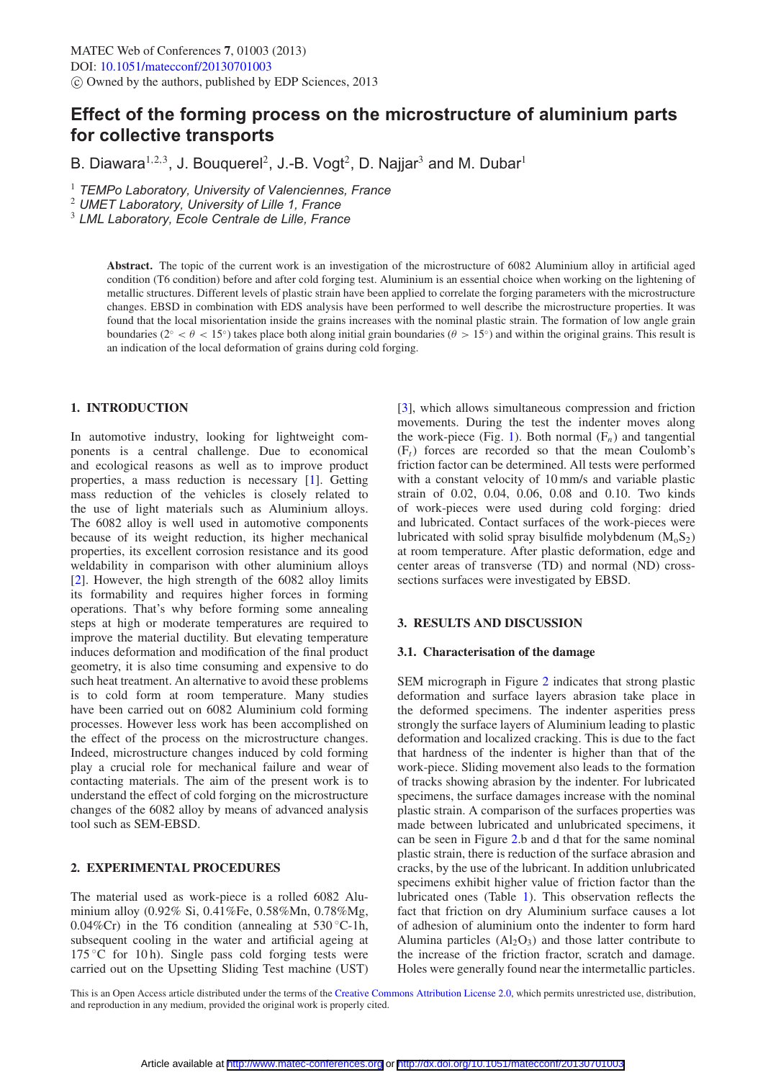# **Effect of the forming process on the microstructure of aluminium parts for collective transports**

B. Diawara<sup>1,2,3</sup>, J. Bouquerel<sup>2</sup>, J.-B. Vogt<sup>2</sup>, D. Najjar<sup>3</sup> and M. Dubar<sup>1</sup>

1 *TEMPo Laboratory, University of Valenciennes, France*

2 *UMET Laboratory, University of Lille 1, France*

3 *LML Laboratory, Ecole Centrale de Lille, France*

**Abstract.** The topic of the current work is an investigation of the microstructure of 6082 Aluminium alloy in artificial aged condition (T6 condition) before and after cold forging test. Aluminium is an essential choice when working on the lightening of metallic structures. Different levels of plastic strain have been applied to correlate the forging parameters with the microstructure changes. EBSD in combination with EDS analysis have been performed to well describe the microstructure properties. It was found that the local misorientation inside the grains increases with the nominal plastic strain. The formation of low angle grain boundaries ( $2° < \theta < 15°$ ) takes place both along initial grain boundaries ( $\theta > 15°$ ) and within the original grains. This result is an indication of the local deformation of grains during cold forging.

# **1. INTRODUCTION**

In automotive industry, looking for lightweight components is a central challenge. Due to economical and ecological reasons as well as to improve product properties, a mass reduction is necessary [\[1](#page-2-0)]. Getting mass reduction of the vehicles is closely related to the use of light materials such as Aluminium alloys. The 6082 alloy is well used in automotive components because of its weight reduction, its higher mechanical properties, its excellent corrosion resistance and its good weldability in comparison with other aluminium alloys [\[2](#page-2-1)]. However, the high strength of the 6082 alloy limits its formability and requires higher forces in forming operations. That's why before forming some annealing steps at high or moderate temperatures are required to improve the material ductility. But elevating temperature induces deformation and modification of the final product geometry, it is also time consuming and expensive to do such heat treatment. An alternative to avoid these problems is to cold form at room temperature. Many studies have been carried out on 6082 Aluminium cold forming processes. However less work has been accomplished on the effect of the process on the microstructure changes. Indeed, microstructure changes induced by cold forming play a crucial role for mechanical failure and wear of contacting materials. The aim of the present work is to understand the effect of cold forging on the microstructure changes of the 6082 alloy by means of advanced analysis tool such as SEM-EBSD.

## **2. EXPERIMENTAL PROCEDURES**

The material used as work-piece is a rolled 6082 Aluminium alloy (0.92% Si, 0.41%Fe, 0.58%Mn, 0.78%Mg, 0.04%Cr) in the T6 condition (annealing at  $530^{\circ}$ C-1h, subsequent cooling in the water and artificial ageing at  $175^{\circ}$ C for 10 h). Single pass cold forging tests were carried out on the Upsetting Sliding Test machine (UST)

[\[3](#page-2-2)], which allows simultaneous compression and friction movements. During the test the indenter moves along the work-piece (Fig. [1\)](#page-1-0). Both normal  $(F_n)$  and tangential  $(F<sub>t</sub>)$  forces are recorded so that the mean Coulomb's friction factor can be determined. All tests were performed with a constant velocity of 10 mm/s and variable plastic strain of 0.02, 0.04, 0.06, 0.08 and 0.10. Two kinds of work-pieces were used during cold forging: dried and lubricated. Contact surfaces of the work-pieces were lubricated with solid spray bisulfide molybdenum  $(M_0S_2)$ at room temperature. After plastic deformation, edge and center areas of transverse (TD) and normal (ND) crosssections surfaces were investigated by EBSD.

## **3. RESULTS AND DISCUSSION**

#### **3.1. Characterisation of the damage**

SEM micrograph in Figure [2](#page-1-1) indicates that strong plastic deformation and surface layers abrasion take place in the deformed specimens. The indenter asperities press strongly the surface layers of Aluminium leading to plastic deformation and localized cracking. This is due to the fact that hardness of the indenter is higher than that of the work-piece. Sliding movement also leads to the formation of tracks showing abrasion by the indenter. For lubricated specimens, the surface damages increase with the nominal plastic strain. A comparison of the surfaces properties was made between lubricated and unlubricated specimens, it can be seen in Figure [2.](#page-1-1)b and d that for the same nominal plastic strain, there is reduction of the surface abrasion and cracks, by the use of the lubricant. In addition unlubricated specimens exhibit higher value of friction factor than the lubricated ones (Table [1\)](#page-1-2). This observation reflects the fact that friction on dry Aluminium surface causes a lot of adhesion of aluminium onto the indenter to form hard Alumina particles  $(A<sub>12</sub>O<sub>3</sub>)$  and those latter contribute to the increase of the friction fractor, scratch and damage. Holes were generally found near the intermetallic particles.

This is an Open Access article distributed under the terms of the [Creative Commons Attribution License 2.0,](http://creativecommons.org/licenses/by/2.0/) which permits unrestricted use, distribution, and reproduction in any medium, provided the original work is properly cited.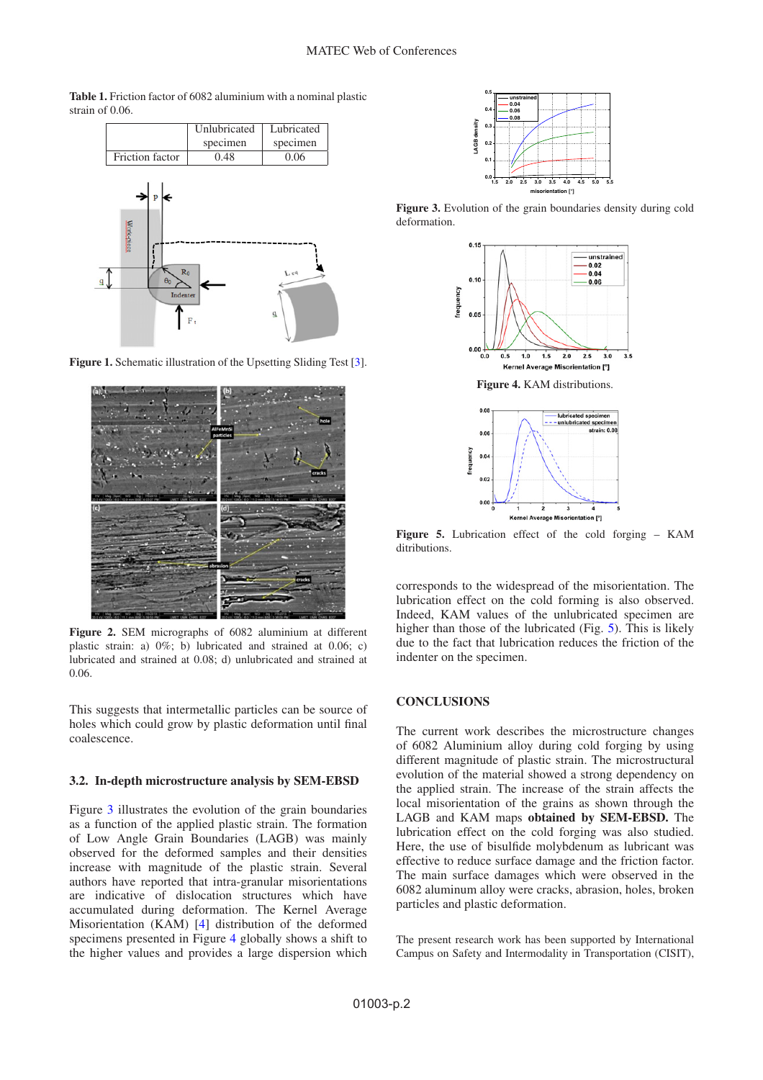<span id="page-1-2"></span><span id="page-1-0"></span>**Table 1.** Friction factor of 6082 aluminium with a nominal plastic strain of 0.06.



<span id="page-1-1"></span>Figure 1. Schematic illustration of the Upsetting Sliding Test [\[3](#page-2-2)].



**Figure 2.** SEM micrographs of 6082 aluminium at different plastic strain: a) 0%; b) lubricated and strained at 0.06; c) lubricated and strained at 0.08; d) unlubricated and strained at 0.06.

This suggests that intermetallic particles can be source of holes which could grow by plastic deformation until final coalescence.

## **3.2. In-depth microstructure analysis by SEM-EBSD**

Figure [3](#page-1-3) illustrates the evolution of the grain boundaries as a function of the applied plastic strain. The formation of Low Angle Grain Boundaries (LAGB) was mainly observed for the deformed samples and their densities increase with magnitude of the plastic strain. Several authors have reported that intra-granular misorientations are indicative of dislocation structures which have accumulated during deformation. The Kernel Average Misorientation (KAM) [\[4](#page-2-3)] distribution of the deformed specimens presented in Figure [4](#page-1-4) globally shows a shift to the higher values and provides a large dispersion which



<span id="page-1-4"></span><span id="page-1-3"></span>**Figure 3.** Evolution of the grain boundaries density during cold deformation.





<span id="page-1-5"></span>**Figure 5.** Lubrication effect of the cold forging – KAM ditributions.

corresponds to the widespread of the misorientation. The lubrication effect on the cold forming is also observed. Indeed, KAM values of the unlubricated specimen are higher than those of the lubricated (Fig. [5\)](#page-1-5). This is likely due to the fact that lubrication reduces the friction of the indenter on the specimen.

### **CONCLUSIONS**

The current work describes the microstructure changes of 6082 Aluminium alloy during cold forging by using different magnitude of plastic strain. The microstructural evolution of the material showed a strong dependency on the applied strain. The increase of the strain affects the local misorientation of the grains as shown through the LAGB and KAM maps **obtained by SEM-EBSD.** The lubrication effect on the cold forging was also studied. Here, the use of bisulfide molybdenum as lubricant was effective to reduce surface damage and the friction factor. The main surface damages which were observed in the 6082 aluminum alloy were cracks, abrasion, holes, broken particles and plastic deformation.

The present research work has been supported by International Campus on Safety and Intermodality in Transportation (CISIT),